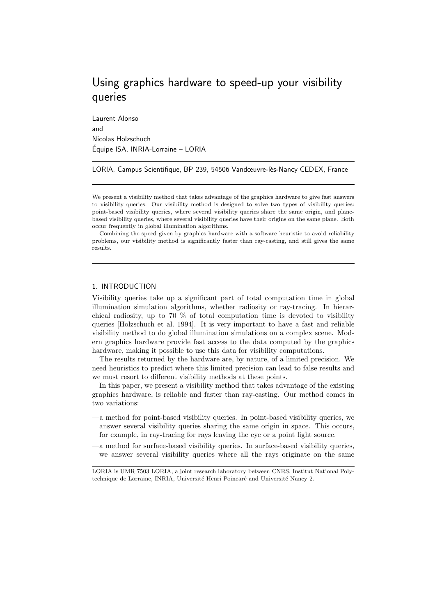# Using graphics hardware to speed-up your visibility queries

Laurent Alonso and Nicolas Holzschuch Équipe ISA, INRIA-Lorraine – LORIA

LORIA, Campus Scientifique, BP 239, 54506 Vandœuvre-lès-Nancy CEDEX, France

We present a visibility method that takes advantage of the graphics hardware to give fast answers to visibility queries. Our visibility method is designed to solve two types of visibility queries: point-based visibility queries, where several visibility queries share the same origin, and planebased visibility queries, where several visibility queries have their origins on the same plane. Both occur frequently in global illumination algorithms.

Combining the speed given by graphics hardware with a software heuristic to avoid reliability problems, our visibility method is significantly faster than ray-casting, and still gives the same results.

## 1. INTRODUCTION

Visibility queries take up a significant part of total computation time in global illumination simulation algorithms, whether radiosity or ray-tracing. In hierarchical radiosity, up to 70 % of total computation time is devoted to visibility queries [Holzschuch et al. 1994]. It is very important to have a fast and reliable visibility method to do global illumination simulations on a complex scene. Modern graphics hardware provide fast access to the data computed by the graphics hardware, making it possible to use this data for visibility computations.

The results returned by the hardware are, by nature, of a limited precision. We need heuristics to predict where this limited precision can lead to false results and we must resort to different visibility methods at these points.

In this paper, we present a visibility method that takes advantage of the existing graphics hardware, is reliable and faster than ray-casting. Our method comes in two variations:

- —a method for point-based visibility queries. In point-based visibility queries, we answer several visibility queries sharing the same origin in space. This occurs, for example, in ray-tracing for rays leaving the eye or a point light source.
- —a method for surface-based visibility queries. In surface-based visibility queries, we answer several visibility queries where all the rays originate on the same

LORIA is UMR 7503 LORIA, a joint research laboratory between CNRS, Institut National Polytechnique de Lorraine, INRIA, Université Henri Poincaré and Université Nancy 2.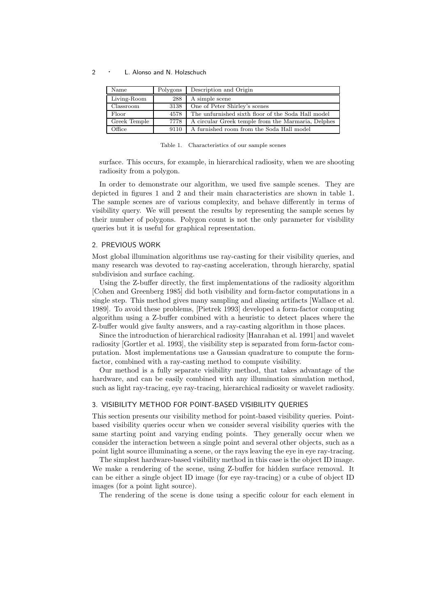| Name         | Polygons | Description and Origin                             |
|--------------|----------|----------------------------------------------------|
| Living-Room  | 288      | A simple scene                                     |
| Classroom    | 3138     | One of Peter Shirley's scenes                      |
| Floor        | 4578     | The unfurnished sixth floor of the Soda Hall model |
| Greek Temple | 7778     | A circular Greek temple from the Marmaria, Delphes |
| Office       | 9110     | A furnished room from the Soda Hall model          |

Table 1. Characteristics of our sample scenes

surface. This occurs, for example, in hierarchical radiosity, when we are shooting radiosity from a polygon.

In order to demonstrate our algorithm, we used five sample scenes. They are depicted in figures 1 and 2 and their main characteristics are shown in table 1. The sample scenes are of various complexity, and behave differently in terms of visibility query. We will present the results by representing the sample scenes by their number of polygons. Polygon count is not the only parameter for visibility queries but it is useful for graphical representation.

## 2. PREVIOUS WORK

Most global illumination algorithms use ray-casting for their visibility queries, and many research was devoted to ray-casting acceleration, through hierarchy, spatial subdivision and surface caching.

Using the Z-buffer directly, the first implementations of the radiosity algorithm [Cohen and Greenberg 1985] did both visibility and form-factor computations in a single step. This method gives many sampling and aliasing artifacts [Wallace et al. 1989]. To avoid these problems, [Pietrek 1993] developed a form-factor computing algorithm using a Z-buffer combined with a heuristic to detect places where the Z-buffer would give faulty answers, and a ray-casting algorithm in those places.

Since the introduction of hierarchical radiosity [Hanrahan et al. 1991] and wavelet radiosity [Gortler et al. 1993], the visibility step is separated from form-factor computation. Most implementations use a Gaussian quadrature to compute the formfactor, combined with a ray-casting method to compute visibility.

Our method is a fully separate visibility method, that takes advantage of the hardware, and can be easily combined with any illumination simulation method, such as light ray-tracing, eye ray-tracing, hierarchical radiosity or wavelet radiosity.

# 3. VISIBILITY METHOD FOR POINT-BASED VISIBILITY QUERIES

This section presents our visibility method for point-based visibility queries. Pointbased visibility queries occur when we consider several visibility queries with the same starting point and varying ending points. They generally occur when we consider the interaction between a single point and several other objects, such as a point light source illuminating a scene, or the rays leaving the eye in eye ray-tracing.

The simplest hardware-based visibility method in this case is the object ID image. We make a rendering of the scene, using Z-buffer for hidden surface removal. It can be either a single object ID image (for eye ray-tracing) or a cube of object ID images (for a point light source).

The rendering of the scene is done using a specific colour for each element in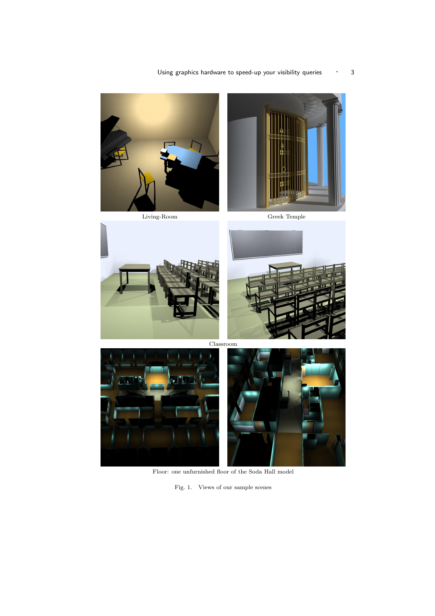



Living-Room Greek Temple





Floor: one unfurnished floor of the Soda Hall model

Fig. 1. Views of our sample scenes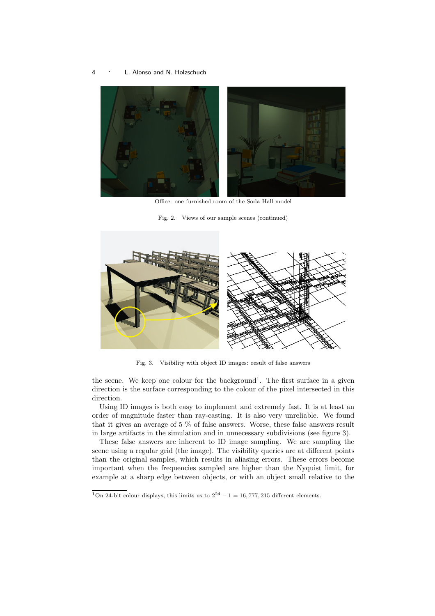

Office: one furnished room of the Soda Hall model

Fig. 2. Views of our sample scenes (continued)



Fig. 3. Visibility with object ID images: result of false answers

the scene. We keep one colour for the background<sup>1</sup>. The first surface in a given direction is the surface corresponding to the colour of the pixel intersected in this direction.

Using ID images is both easy to implement and extremely fast. It is at least an order of magnitude faster than ray-casting. It is also very unreliable. We found that it gives an average of 5 % of false answers. Worse, these false answers result in large artifacts in the simulation and in unnecessary subdivisions (see figure 3).

These false answers are inherent to ID image sampling. We are sampling the scene using a regular grid (the image). The visibility queries are at different points than the original samples, which results in aliasing errors. These errors become important when the frequencies sampled are higher than the Nyquist limit, for example at a sharp edge between objects, or with an object small relative to the

 $\frac{1}{10}$  24-bit colour displays, this limits us to  $2^{24} - 1 = 16,777,215$  different elements.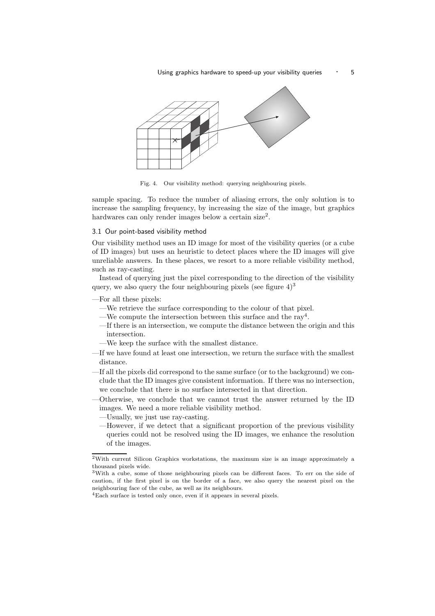

Fig. 4. Our visibility method: querying neighbouring pixels.

sample spacing. To reduce the number of aliasing errors, the only solution is to increase the sampling frequency, by increasing the size of the image, but graphics hardwares can only render images below a certain size<sup>2</sup>.

#### 3.1 Our point-based visibility method

Our visibility method uses an ID image for most of the visibility queries (or a cube of ID images) but uses an heuristic to detect places where the ID images will give unreliable answers. In these places, we resort to a more reliable visibility method, such as ray-casting.

Instead of querying just the pixel corresponding to the direction of the visibility query, we also query the four neighbouring pixels (see figure  $4<sup>3</sup>$ )

—For all these pixels:

- —We retrieve the surface corresponding to the colour of that pixel.
- —We compute the intersection between this surface and the ray<sup>4</sup>.
- —If there is an intersection, we compute the distance between the origin and this intersection.
- —We keep the surface with the smallest distance.
- —If we have found at least one intersection, we return the surface with the smallest distance.
- —If all the pixels did correspond to the same surface (or to the background) we conclude that the ID images give consistent information. If there was no intersection, we conclude that there is no surface intersected in that direction.
- —Otherwise, we conclude that we cannot trust the answer returned by the ID images. We need a more reliable visibility method.
	- —Usually, we just use ray-casting.
	- —However, if we detect that a significant proportion of the previous visibility queries could not be resolved using the ID images, we enhance the resolution of the images.

<sup>&</sup>lt;sup>2</sup>With current Silicon Graphics workstations, the maximum size is an image approximately a thousand pixels wide.

<sup>3</sup>With a cube, some of those neighbouring pixels can be different faces. To err on the side of caution, if the first pixel is on the border of a face, we also query the nearest pixel on the neighbouring face of the cube, as well as its neighbours.

<sup>4</sup>Each surface is tested only once, even if it appears in several pixels.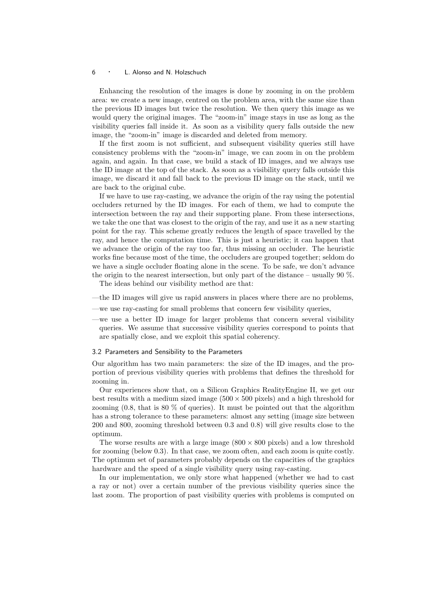Enhancing the resolution of the images is done by zooming in on the problem area: we create a new image, centred on the problem area, with the same size than the previous ID images but twice the resolution. We then query this image as we would query the original images. The "zoom-in" image stays in use as long as the visibility queries fall inside it. As soon as a visibility query falls outside the new image, the "zoom-in" image is discarded and deleted from memory.

If the first zoom is not sufficient, and subsequent visibility queries still have consistency problems with the "zoom-in" image, we can zoom in on the problem again, and again. In that case, we build a stack of ID images, and we always use the ID image at the top of the stack. As soon as a visibility query falls outside this image, we discard it and fall back to the previous ID image on the stack, until we are back to the original cube.

If we have to use ray-casting, we advance the origin of the ray using the potential occluders returned by the ID images. For each of them, we had to compute the intersection between the ray and their supporting plane. From these intersections, we take the one that was closest to the origin of the ray, and use it as a new starting point for the ray. This scheme greatly reduces the length of space travelled by the ray, and hence the computation time. This is just a heuristic; it can happen that we advance the origin of the ray too far, thus missing an occluder. The heuristic works fine because most of the time, the occluders are grouped together; seldom do we have a single occluder floating alone in the scene. To be safe, we don't advance the origin to the nearest intersection, but only part of the distance – usually 90 %.

The ideas behind our visibility method are that:

- —the ID images will give us rapid answers in places where there are no problems,
- —we use ray-casting for small problems that concern few visibility queries,
- —we use a better ID image for larger problems that concern several visibility queries. We assume that successive visibility queries correspond to points that are spatially close, and we exploit this spatial coherency.

#### 3.2 Parameters and Sensibility to the Parameters

Our algorithm has two main parameters: the size of the ID images, and the proportion of previous visibility queries with problems that defines the threshold for zooming in.

Our experiences show that, on a Silicon Graphics RealityEngine II, we get our best results with a medium sized image  $(500 \times 500)$  pixels) and a high threshold for zooming (0.8, that is 80 % of queries). It must be pointed out that the algorithm has a strong tolerance to these parameters: almost any setting (image size between 200 and 800, zooming threshold between 0.3 and 0.8) will give results close to the optimum.

The worse results are with a large image  $(800 \times 800)$  pixels) and a low threshold for zooming (below 0.3). In that case, we zoom often, and each zoom is quite costly. The optimum set of parameters probably depends on the capacities of the graphics hardware and the speed of a single visibility query using ray-casting.

In our implementation, we only store what happened (whether we had to cast a ray or not) over a certain number of the previous visibility queries since the last zoom. The proportion of past visibility queries with problems is computed on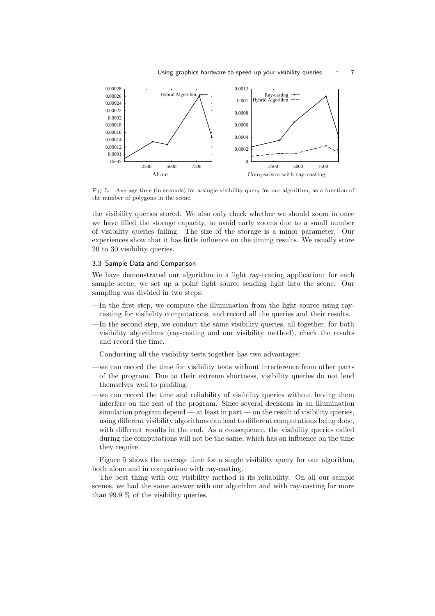

Fig. 5. Average time (in seconds) for a single visibility query for our algorithm, as a function of the number of polygons in the scene.

the visibility queries stored. We also only check whether we should zoom in once we have filled the storage capacity, to avoid early zooms due to a small number of visibility queries failing. The size of the storage is a minor parameter. Our experiences show that it has little influence on the timing results. We usually store 20 to 30 visibility queries.

## 3.3 Sample Data and Comparison

We have demonstrated our algorithm in a light ray-tracing application: for each sample scene, we set up a point light source sending light into the scene. Our sampling was divided in two steps:

- —In the first step, we compute the illumination from the light source using raycasting for visibility computations, and record all the queries and their results.
- —In the second step, we conduct the same visibility queries, all together, for both visibility algorithms (ray-casting and our visibility method), check the results and record the time.

Conducting all the visibility tests together has two advantages:

- —we can record the time for visibility tests without interference from other parts of the program. Due to their extreme shortness, visibility queries do not lend themselves well to profiling.
- —we can record the time and reliability of visibility queries without having them interfere on the rest of the program. Since several decisions in an illumination simulation program depend — at least in part — on the result of visibility queries, using different visibility algorithms can lead to different computations being done, with different results in the end. As a consequence, the visibility queries called during the computations will not be the same, which has an influence on the time they require.

Figure 5 shows the average time for a single visibility query for our algorithm, both alone and in comparison with ray-casting.

The best thing with our visibility method is its reliability. On all our sample scenes, we had the same answer with our algorithm and with ray-casting for more than 99.9 % of the visibility queries.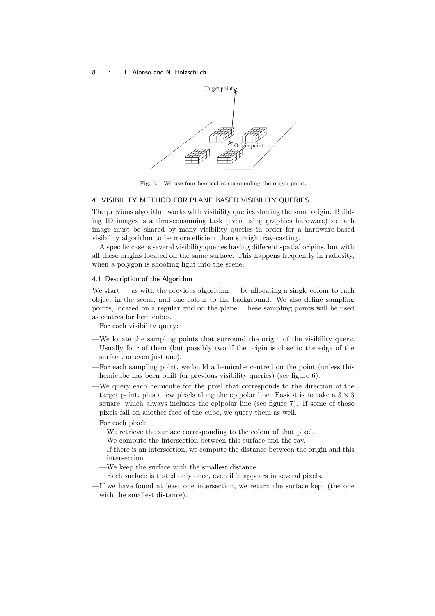

Fig. 6. We use four hemicubes surrounding the origin point.

## 4. VISIBILITY METHOD FOR PLANE BASED VISIBILITY QUERIES

The previous algorithm works with visibility queries sharing the same origin. Building ID images is a time-consuming task (even using graphics hardware) so each image must be shared by many visibility queries in order for a hardware-based visibility algorithm to be more efficient than straight ray-casting.

A specific case is several visibility queries having different spatial origins, but with all these origins located on the same surface. This happens frequently in radiosity, when a polygon is shooting light into the scene.

#### 4.1 Description of the Algorithm

We start — as with the previous algorithm — by allocating a single colour to each object in the scene, and one colour to the background. We also define sampling points, located on a regular grid on the plane. These sampling points will be used as centres for hemicubes.

For each visibility query:

- —We locate the sampling points that surround the origin of the visibility query. Usually four of them (but possibly two if the origin is close to the edge of the surface, or even just one).
- —For each sampling point, we build a hemicube centred on the point (unless this hemicube has been built for previous visibility queries) (see figure 6).
- —We query each hemicube for the pixel that corresponds to the direction of the target point, plus a few pixels along the epipolar line. Easiest is to take a  $3 \times 3$ square, which always includes the epipolar line (see figure 7). If some of those pixels fall on another face of the cube, we query them as well.
- —For each pixel:
- —We retrieve the surface corresponding to the colour of that pixel.
- —We compute the intersection between this surface and the ray.
- —If there is an intersection, we compute the distance between the origin and this intersection.
- —We keep the surface with the smallest distance.
- —Each surface is tested only once, even if it appears in several pixels.
- —If we have found at least one intersection, we return the surface kept (the one with the smallest distance).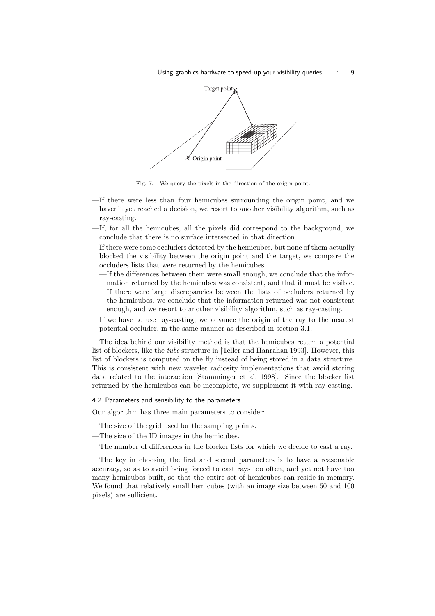Using graphics hardware to speed-up your visibility queries • 9



Fig. 7. We query the pixels in the direction of the origin point.

- —If there were less than four hemicubes surrounding the origin point, and we haven't yet reached a decision, we resort to another visibility algorithm, such as ray-casting.
- —If, for all the hemicubes, all the pixels did correspond to the background, we conclude that there is no surface intersected in that direction.
- —If there were some occluders detected by the hemicubes, but none of them actually blocked the visibility between the origin point and the target, we compare the occluders lists that were returned by the hemicubes.
- —If the differences between them were small enough, we conclude that the information returned by the hemicubes was consistent, and that it must be visible.
- —If there were large discrepancies between the lists of occluders returned by the hemicubes, we conclude that the information returned was not consistent enough, and we resort to another visibility algorithm, such as ray-casting.
- —If we have to use ray-casting, we advance the origin of the ray to the nearest potential occluder, in the same manner as described in section 3.1.

The idea behind our visibility method is that the hemicubes return a potential list of blockers, like the tube structure in [Teller and Hanrahan 1993]. However, this list of blockers is computed on the fly instead of being stored in a data structure. This is consistent with new wavelet radiosity implementations that avoid storing data related to the interaction [Stamminger et al. 1998]. Since the blocker list returned by the hemicubes can be incomplete, we supplement it with ray-casting.

## 4.2 Parameters and sensibility to the parameters

Our algorithm has three main parameters to consider:

- —The size of the grid used for the sampling points.
- —The size of the ID images in the hemicubes.
- —The number of differences in the blocker lists for which we decide to cast a ray.

The key in choosing the first and second parameters is to have a reasonable accuracy, so as to avoid being forced to cast rays too often, and yet not have too many hemicubes built, so that the entire set of hemicubes can reside in memory. We found that relatively small hemicubes (with an image size between 50 and 100 pixels) are sufficient.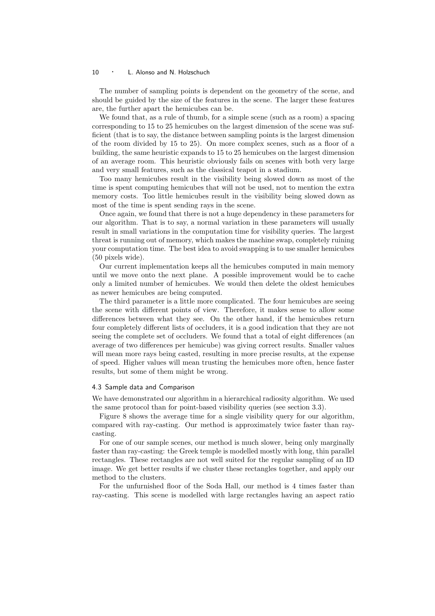The number of sampling points is dependent on the geometry of the scene, and should be guided by the size of the features in the scene. The larger these features are, the further apart the hemicubes can be.

We found that, as a rule of thumb, for a simple scene (such as a room) a spacing corresponding to 15 to 25 hemicubes on the largest dimension of the scene was sufficient (that is to say, the distance between sampling points is the largest dimension of the room divided by 15 to 25). On more complex scenes, such as a floor of a building, the same heuristic expands to 15 to 25 hemicubes on the largest dimension of an average room. This heuristic obviously fails on scenes with both very large and very small features, such as the classical teapot in a stadium.

Too many hemicubes result in the visibility being slowed down as most of the time is spent computing hemicubes that will not be used, not to mention the extra memory costs. Too little hemicubes result in the visibility being slowed down as most of the time is spent sending rays in the scene.

Once again, we found that there is not a huge dependency in these parameters for our algorithm. That is to say, a normal variation in these parameters will usually result in small variations in the computation time for visibility queries. The largest threat is running out of memory, which makes the machine swap, completely ruining your computation time. The best idea to avoid swapping is to use smaller hemicubes (50 pixels wide).

Our current implementation keeps all the hemicubes computed in main memory until we move onto the next plane. A possible improvement would be to cache only a limited number of hemicubes. We would then delete the oldest hemicubes as newer hemicubes are being computed.

The third parameter is a little more complicated. The four hemicubes are seeing the scene with different points of view. Therefore, it makes sense to allow some differences between what they see. On the other hand, if the hemicubes return four completely different lists of occluders, it is a good indication that they are not seeing the complete set of occluders. We found that a total of eight differences (an average of two differences per hemicube) was giving correct results. Smaller values will mean more rays being casted, resulting in more precise results, at the expense of speed. Higher values will mean trusting the hemicubes more often, hence faster results, but some of them might be wrong.

#### 4.3 Sample data and Comparison

We have demonstrated our algorithm in a hierarchical radiosity algorithm. We used the same protocol than for point-based visibility queries (see section 3.3).

Figure 8 shows the average time for a single visibility query for our algorithm, compared with ray-casting. Our method is approximately twice faster than raycasting.

For one of our sample scenes, our method is much slower, being only marginally faster than ray-casting: the Greek temple is modelled mostly with long, thin parallel rectangles. These rectangles are not well suited for the regular sampling of an ID image. We get better results if we cluster these rectangles together, and apply our method to the clusters.

For the unfurnished floor of the Soda Hall, our method is 4 times faster than ray-casting. This scene is modelled with large rectangles having an aspect ratio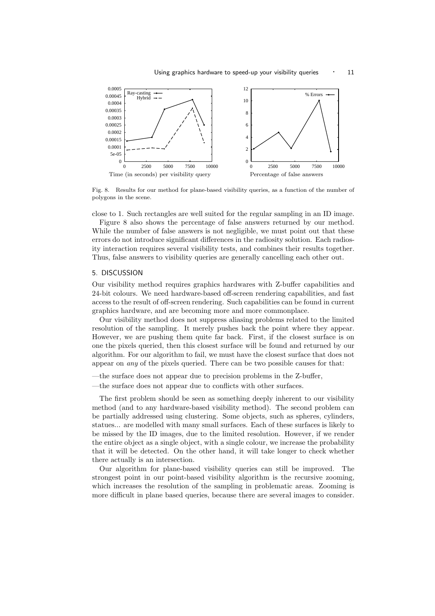

Fig. 8. Results for our method for plane-based visibility queries, as a function of the number of polygons in the scene.

close to 1. Such rectangles are well suited for the regular sampling in an ID image.

Figure 8 also shows the percentage of false answers returned by our method. While the number of false answers is not negligible, we must point out that these errors do not introduce significant differences in the radiosity solution. Each radiosity interaction requires several visibility tests, and combines their results together. Thus, false answers to visibility queries are generally cancelling each other out.

#### 5. DISCUSSION

Our visibility method requires graphics hardwares with Z-buffer capabilities and 24-bit colours. We need hardware-based off-screen rendering capabilities, and fast access to the result of off-screen rendering. Such capabilities can be found in current graphics hardware, and are becoming more and more commonplace.

Our visibility method does not suppress aliasing problems related to the limited resolution of the sampling. It merely pushes back the point where they appear. However, we are pushing them quite far back. First, if the closest surface is on one the pixels queried, then this closest surface will be found and returned by our algorithm. For our algorithm to fail, we must have the closest surface that does not appear on any of the pixels queried. There can be two possible causes for that:

—the surface does not appear due to precision problems in the Z-buffer,

—the surface does not appear due to conflicts with other surfaces.

The first problem should be seen as something deeply inherent to our visibility method (and to any hardware-based visibility method). The second problem can be partially addressed using clustering. Some objects, such as spheres, cylinders, statues... are modelled with many small surfaces. Each of these surfaces is likely to be missed by the ID images, due to the limited resolution. However, if we render the entire object as a single object, with a single colour, we increase the probability that it will be detected. On the other hand, it will take longer to check whether there actually is an intersection.

Our algorithm for plane-based visibility queries can still be improved. The strongest point in our point-based visibility algorithm is the recursive zooming, which increases the resolution of the sampling in problematic areas. Zooming is more difficult in plane based queries, because there are several images to consider.